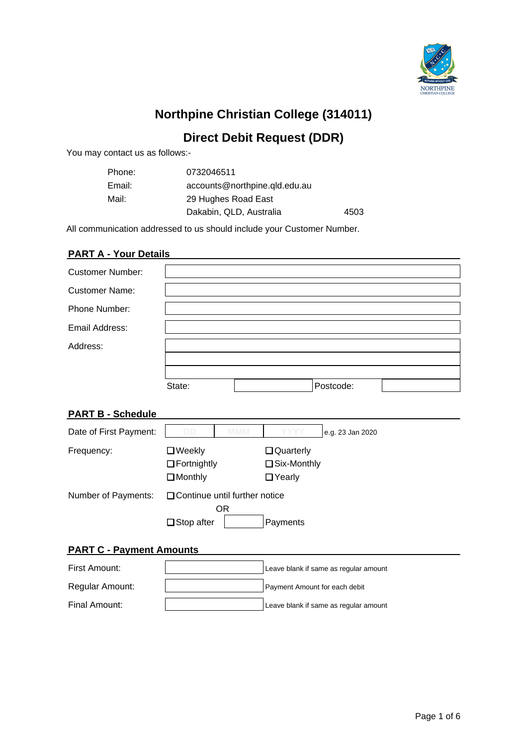

# **Northpine Christian College (314011)**

# **Direct Debit Request (DDR)**

You may contact us as follows:-

| Phone: | 0732046511                    |      |
|--------|-------------------------------|------|
| Email: | accounts@northpine.qld.edu.au |      |
| Mail:  | 29 Hughes Road East           |      |
|        | Dakabin, QLD, Australia       | 4503 |

All communication addressed to us should include your Customer Number.

# **PART A - Your Details**

| <b>Customer Number:</b> |        |           |  |
|-------------------------|--------|-----------|--|
| <b>Customer Name:</b>   |        |           |  |
|                         |        |           |  |
| Phone Number:           |        |           |  |
|                         |        |           |  |
| Email Address:          |        |           |  |
| Address:                |        |           |  |
|                         |        |           |  |
|                         |        |           |  |
|                         |        |           |  |
|                         | State: | Postcode: |  |
|                         |        |           |  |

# **PART B - Schedule**

| Date of First Payment: | DD.                                                   | MMM | <b>YYYY</b>                            | e.g. 23 Jan 2020 |
|------------------------|-------------------------------------------------------|-----|----------------------------------------|------------------|
| Frequency:             | $\Box$ Weekly<br>$\Box$ Fortnightly<br>$\Box$ Monthly |     | Quarterly<br>□ Six-Monthly<br>□ Yearly |                  |
| Number of Payments:    | □ Continue until further notice<br>$\Box$ Stop after  | OR  | Payments                               |                  |

# **PART C - Payment Amounts**

| First Amount:   | Leave blank if same as regular amount |
|-----------------|---------------------------------------|
| Regular Amount: | Payment Amount for each debit         |
| Final Amount:   | Leave blank if same as regular amount |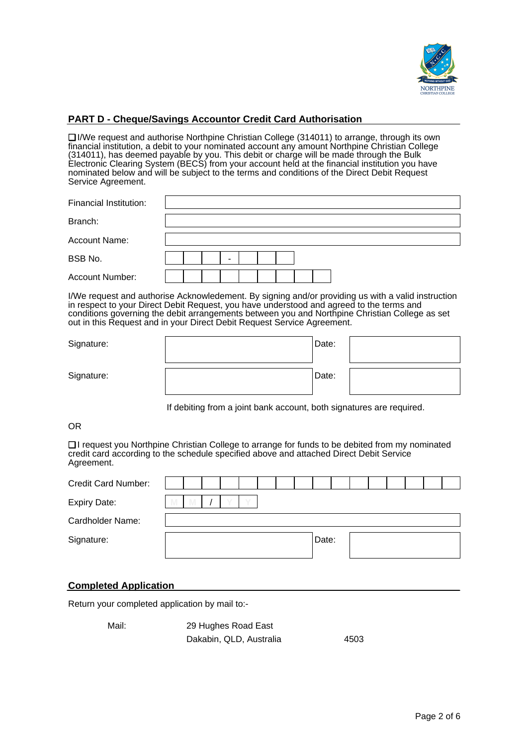

# **PART D - Cheque/Savings Accountor Credit Card Authorisation**

❏ I/We request and authorise Northpine Christian College (314011) to arrange, through its own financial institution, a debit to your nominated account any amount Northpine Christian College (314011), has deemed payable by you. This debit or charge will be made through the Bulk Electronic Clearing System (BECS) from your account held at the financial institution you have nominated below and will be subject to the terms and conditions of the Direct Debit Request Service Agreement.

| Financial Institution: |  |  |  |  |  |  |  |  |  |
|------------------------|--|--|--|--|--|--|--|--|--|
| Branch:                |  |  |  |  |  |  |  |  |  |
| Account Name:          |  |  |  |  |  |  |  |  |  |
| BSB No.                |  |  |  |  |  |  |  |  |  |
| Account Number:        |  |  |  |  |  |  |  |  |  |

I/We request and authorise Acknowledement. By signing and/or providing us with a valid instruction in respect to your Direct Debit Request, you have understood and agreed to the terms and conditions governing the debit arrangements between you and Northpine Christian College as set out in this Request and in your Direct Debit Request Service Agreement.

| Signature: | Date: |  |
|------------|-------|--|
| Signature: | Date: |  |

If debiting from a joint bank account, both signatures are required.

OR

❏ I request you Northpine Christian College to arrange for funds to be debited from my nominated credit card according to the schedule specified above and attached Direct Debit Service Agreement.

| <b>Credit Card Number:</b> |   |  |  |  |       |  |  |  |  |
|----------------------------|---|--|--|--|-------|--|--|--|--|
| <b>Expiry Date:</b>        | M |  |  |  |       |  |  |  |  |
| Cardholder Name:           |   |  |  |  |       |  |  |  |  |
| Signature:                 |   |  |  |  | Date: |  |  |  |  |
|                            |   |  |  |  |       |  |  |  |  |

### **Completed Application**

Return your completed application by mail to:-

Mail: 29 Hughes Road East Dakabin, QLD, Australia 4503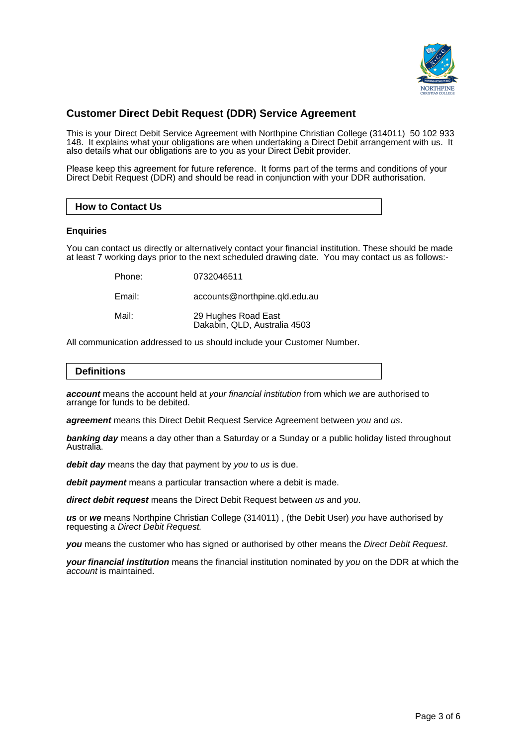

# **Customer Direct Debit Request (DDR) Service Agreement**

This is your Direct Debit Service Agreement with Northpine Christian College (314011) 50 102 933 148. It explains what your obligations are when undertaking a Direct Debit arrangement with us. It also details what our obligations are to you as your Direct Debit provider.

Please keep this agreement for future reference. It forms part of the terms and conditions of your Direct Debit Request (DDR) and should be read in conjunction with your DDR authorisation.

### **How to Contact Us**

### **Enquiries**

You can contact us directly or alternatively contact your financial institution. These should be made at least 7 working days prior to the next scheduled drawing date. You may contact us as follows:-

| Phone: | 0732046511 |
|--------|------------|
|        |            |

Email: accounts@northpine.qld.edu.au

| Mail: | 29 Hughes Road East          |
|-------|------------------------------|
|       | Dakabin, QLD, Australia 4503 |

All communication addressed to us should include your Customer Number.

# **Definitions**

**account** means the account held at your financial institution from which we are authorised to arrange for funds to be debited.

**agreement** means this Direct Debit Request Service Agreement between you and us.

**banking day** means a day other than a Saturday or a Sunday or a public holiday listed throughout Australia.

debit day means the day that payment by you to us is due.

**debit payment** means a particular transaction where a debit is made.

**direct debit request** means the Direct Debit Request between us and you.

**us** or **we** means Northpine Christian College (314011) , (the Debit User) you have authorised by requesting a Direct Debit Request.

**you** means the customer who has signed or authorised by other means the Direct Debit Request.

**your financial institution** means the financial institution nominated by you on the DDR at which the account is maintained.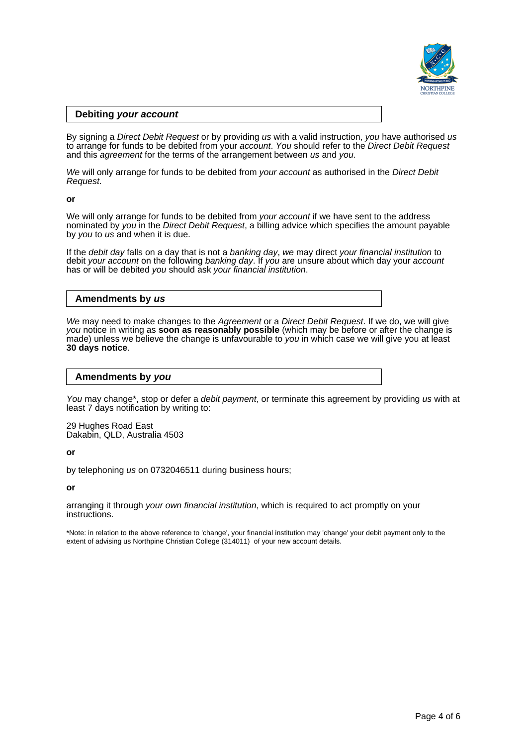

### **Debiting your account**

By signing a Direct Debit Request or by providing us with a valid instruction, you have authorised us to arrange for funds to be debited from your *account. You* should refer to the *Direct Debit Request* and this *agreement* for the terms of the arrangement between us and you.

We will only arrange for funds to be debited from your account as authorised in the Direct Debit Request.

#### **or**

We will only arrange for funds to be debited from your account if we have sent to the address nominated by you in the Direct Debit Request, a billing advice which specifies the amount payable by you to us and when it is due.

If the debit day falls on a day that is not a banking day, we may direct your financial institution to debit your account on the following banking day. If you are unsure about which day your account has or will be debited you should ask your financial institution.

### **Amendments by us**

We may need to make changes to the Agreement or a Direct Debit Request. If we do, we will give you notice in writing as **soon as reasonably possible** (which may be before or after the change is made) unless we believe the change is unfavourable to you in which case we will give you at least **30 days notice**.

### **Amendments by you**

You may change<sup>\*</sup>, stop or defer a *debit payment*, or terminate this agreement by providing us with at least 7 days notification by writing to:

29 Hughes Road East Dakabin, QLD, Australia 4503

**or**

by telephoning us on 0732046511 during business hours;

**or**

arranging it through your own financial institution, which is required to act promptly on your instructions.

\*Note: in relation to the above reference to 'change', your financial institution may 'change' your debit payment only to the extent of advising us Northpine Christian College (314011) of your new account details.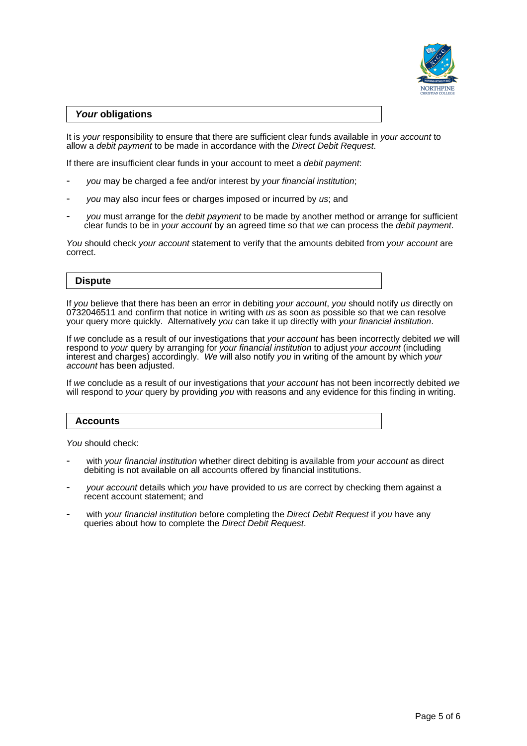

### **Your obligations**

It is your responsibility to ensure that there are sufficient clear funds available in your account to allow a debit payment to be made in accordance with the Direct Debit Request.

If there are insufficient clear funds in your account to meet a debit payment:

- you may be charged a fee and/or interest by your financial institution;
- you may also incur fees or charges imposed or incurred by us; and
- you must arrange for the debit payment to be made by another method or arrange for sufficient clear funds to be in *your account* by an agreed time so that we can process the *debit payment*.

You should check your account statement to verify that the amounts debited from your account are correct.

### **Dispute**

If you believe that there has been an error in debiting your account, you should notify us directly on 0732046511 and confirm that notice in writing with us as soon as possible so that we can resolve your query more quickly. Alternatively you can take it up directly with your financial institution.

If we conclude as a result of our investigations that your account has been incorrectly debited we will respond to *your* query by arranging for your financial institution to adjust your account (including interest and charges) accordingly. We will also notify you in writing of the amount by which your account has been adjusted.

If we conclude as a result of our investigations that your account has not been incorrectly debited we will respond to your query by providing you with reasons and any evidence for this finding in writing.

### **Accounts**

You should check:

- with your financial institution whether direct debiting is available from your account as direct debiting is not available on all accounts offered by financial institutions.
- your account details which you have provided to us are correct by checking them against a recent account statement; and
- with your financial institution before completing the Direct Debit Request if you have any queries about how to complete the Direct Debit Request.